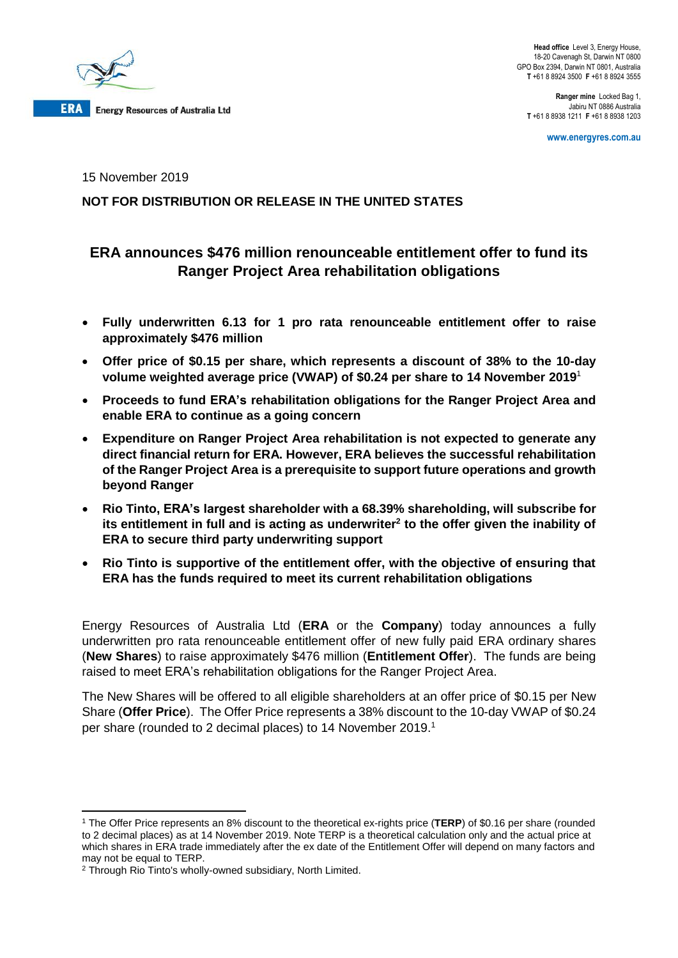

**Head office** Level 3, Energy House, 18-20 Cavenagh St, Darwin NT 0800 GPO Box 2394, Darwin NT 0801, Australia **T** +61 8 8924 3500 **F** +61 8 8924 3555

**Ranger mine** Locked Bag 1, Jabiru NT 0886 Australia **T** +61 8 8938 1211 **F** +61 8 8938 1203

**www.energyres.com.au**

15 November 2019

# **NOT FOR DISTRIBUTION OR RELEASE IN THE UNITED STATES**

# **ERA announces \$476 million renounceable entitlement offer to fund its Ranger Project Area rehabilitation obligations**

- **Fully underwritten 6.13 for 1 pro rata renounceable entitlement offer to raise approximately \$476 million**
- **Offer price of \$0.15 per share, which represents a discount of 38% to the 10-day volume weighted average price (VWAP) of \$0.24 per share to 14 November 2019**<sup>1</sup>
- **Proceeds to fund ERA's rehabilitation obligations for the Ranger Project Area and enable ERA to continue as a going concern**
- **Expenditure on Ranger Project Area rehabilitation is not expected to generate any direct financial return for ERA. However, ERA believes the successful rehabilitation of the Ranger Project Area is a prerequisite to support future operations and growth beyond Ranger**
- **Rio Tinto, ERA's largest shareholder with a 68.39% shareholding, will subscribe for its entitlement in full and is acting as underwriter<sup>2</sup> to the offer given the inability of ERA to secure third party underwriting support**
- **Rio Tinto is supportive of the entitlement offer, with the objective of ensuring that ERA has the funds required to meet its current rehabilitation obligations**

Energy Resources of Australia Ltd (**ERA** or the **Company**) today announces a fully underwritten pro rata renounceable entitlement offer of new fully paid ERA ordinary shares (**New Shares**) to raise approximately \$476 million (**Entitlement Offer**). The funds are being raised to meet ERA's rehabilitation obligations for the Ranger Project Area.

The New Shares will be offered to all eligible shareholders at an offer price of \$0.15 per New Share (**Offer Price**). The Offer Price represents a 38% discount to the 10-day VWAP of \$0.24 per share (rounded to 2 decimal places) to 14 November 2019. 1

**<sup>.</sup>** <sup>1</sup> The Offer Price represents an 8% discount to the theoretical ex-rights price (**TERP**) of \$0.16 per share (rounded to 2 decimal places) as at 14 November 2019. Note TERP is a theoretical calculation only and the actual price at which shares in ERA trade immediately after the ex date of the Entitlement Offer will depend on many factors and may not be equal to TERP.

<sup>2</sup> Through Rio Tinto's wholly-owned subsidiary, North Limited.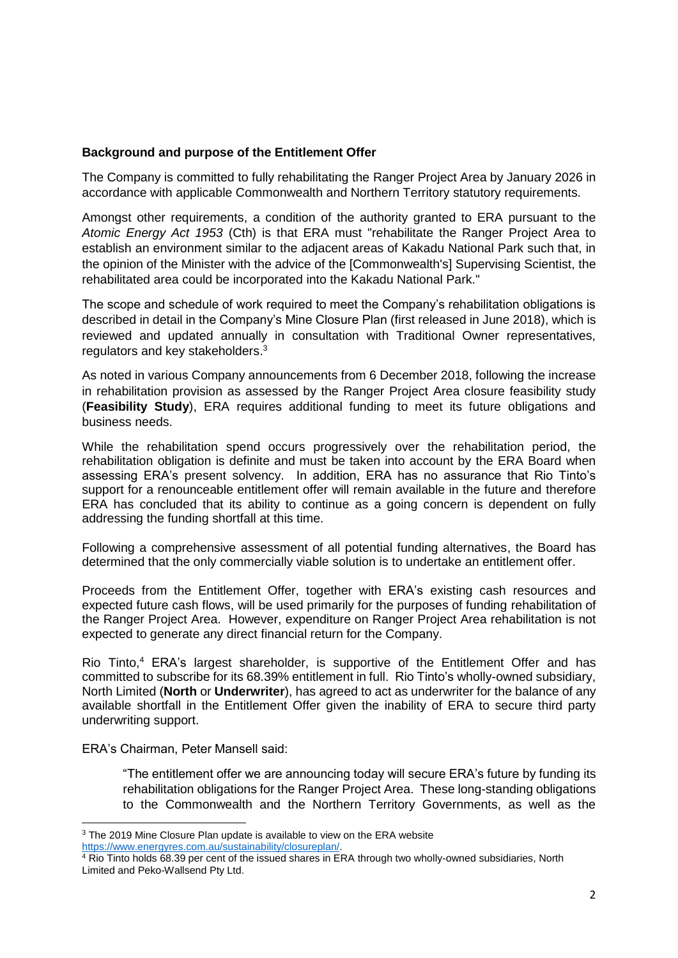### **Background and purpose of the Entitlement Offer**

The Company is committed to fully rehabilitating the Ranger Project Area by January 2026 in accordance with applicable Commonwealth and Northern Territory statutory requirements.

Amongst other requirements, a condition of the authority granted to ERA pursuant to the *Atomic Energy Act 1953* (Cth) is that ERA must "rehabilitate the Ranger Project Area to establish an environment similar to the adjacent areas of Kakadu National Park such that, in the opinion of the Minister with the advice of the [Commonwealth's] Supervising Scientist, the rehabilitated area could be incorporated into the Kakadu National Park."

The scope and schedule of work required to meet the Company's rehabilitation obligations is described in detail in the Company's Mine Closure Plan (first released in June 2018), which is reviewed and updated annually in consultation with Traditional Owner representatives, regulators and key stakeholders.<sup>3</sup>

As noted in various Company announcements from 6 December 2018, following the increase in rehabilitation provision as assessed by the Ranger Project Area closure feasibility study (**Feasibility Study**), ERA requires additional funding to meet its future obligations and business needs.

While the rehabilitation spend occurs progressively over the rehabilitation period, the rehabilitation obligation is definite and must be taken into account by the ERA Board when assessing ERA's present solvency. In addition, ERA has no assurance that Rio Tinto's support for a renounceable entitlement offer will remain available in the future and therefore ERA has concluded that its ability to continue as a going concern is dependent on fully addressing the funding shortfall at this time.

Following a comprehensive assessment of all potential funding alternatives, the Board has determined that the only commercially viable solution is to undertake an entitlement offer.

Proceeds from the Entitlement Offer, together with ERA's existing cash resources and expected future cash flows, will be used primarily for the purposes of funding rehabilitation of the Ranger Project Area. However, expenditure on Ranger Project Area rehabilitation is not expected to generate any direct financial return for the Company.

Rio Tinto,<sup>4</sup> ERA's largest shareholder, is supportive of the Entitlement Offer and has committed to subscribe for its 68.39% entitlement in full. Rio Tinto's wholly-owned subsidiary, North Limited (**North** or **Underwriter**), has agreed to act as underwriter for the balance of any available shortfall in the Entitlement Offer given the inability of ERA to secure third party underwriting support.

ERA's Chairman, Peter Mansell said:

"The entitlement offer we are announcing today will secure ERA's future by funding its rehabilitation obligations for the Ranger Project Area. These long-standing obligations to the Commonwealth and the Northern Territory Governments, as well as the

<sup>1</sup> <sup>3</sup> The 2019 Mine Closure Plan update is available to view on the ERA website https://www.energyres.com.au/sustainability/closureplan/.

<sup>4</sup> Rio Tinto holds 68.39 per cent of the issued shares in ERA through two wholly-owned subsidiaries, North Limited and Peko-Wallsend Pty Ltd.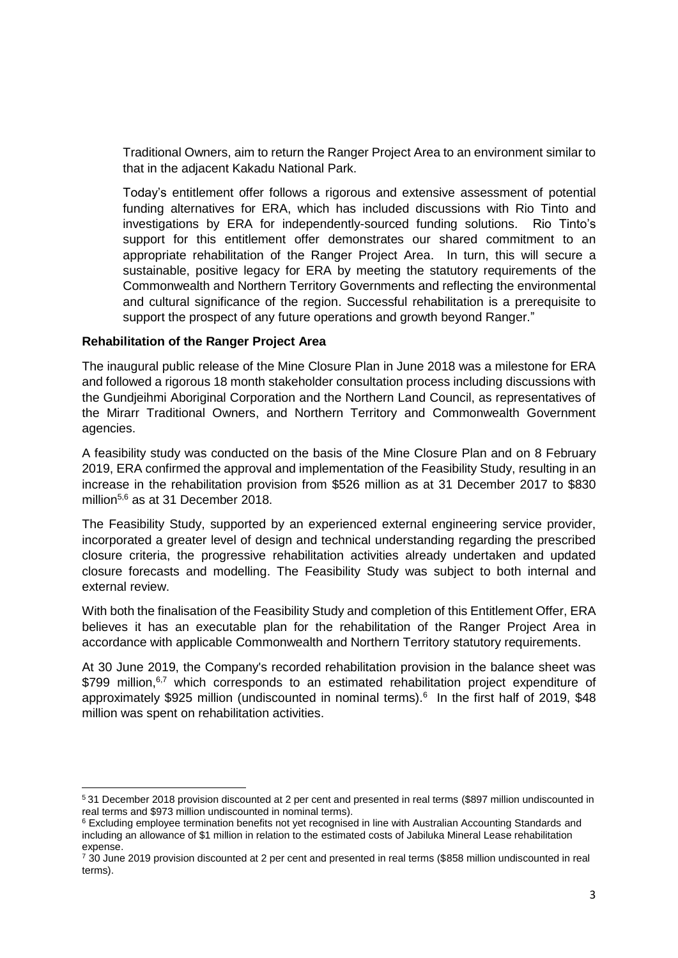Traditional Owners, aim to return the Ranger Project Area to an environment similar to that in the adjacent Kakadu National Park.

Today's entitlement offer follows a rigorous and extensive assessment of potential funding alternatives for ERA, which has included discussions with Rio Tinto and investigations by ERA for independently-sourced funding solutions. Rio Tinto's support for this entitlement offer demonstrates our shared commitment to an appropriate rehabilitation of the Ranger Project Area. In turn, this will secure a sustainable, positive legacy for ERA by meeting the statutory requirements of the Commonwealth and Northern Territory Governments and reflecting the environmental and cultural significance of the region. Successful rehabilitation is a prerequisite to support the prospect of any future operations and growth beyond Ranger."

#### **Rehabilitation of the Ranger Project Area**

1

The inaugural public release of the Mine Closure Plan in June 2018 was a milestone for ERA and followed a rigorous 18 month stakeholder consultation process including discussions with the Gundjeihmi Aboriginal Corporation and the Northern Land Council, as representatives of the Mirarr Traditional Owners, and Northern Territory and Commonwealth Government agencies.

A feasibility study was conducted on the basis of the Mine Closure Plan and on 8 February 2019, ERA confirmed the approval and implementation of the Feasibility Study, resulting in an increase in the rehabilitation provision from \$526 million as at 31 December 2017 to \$830 million<sup>5,6</sup> as at 31 December 2018.

The Feasibility Study, supported by an experienced external engineering service provider, incorporated a greater level of design and technical understanding regarding the prescribed closure criteria, the progressive rehabilitation activities already undertaken and updated closure forecasts and modelling. The Feasibility Study was subject to both internal and external review.

With both the finalisation of the Feasibility Study and completion of this Entitlement Offer, ERA believes it has an executable plan for the rehabilitation of the Ranger Project Area in accordance with applicable Commonwealth and Northern Territory statutory requirements.

At 30 June 2019, the Company's recorded rehabilitation provision in the balance sheet was \$799 million,<sup>6,7</sup> which corresponds to an estimated rehabilitation project expenditure of approximately \$925 million (undiscounted in nominal terms).<sup>6</sup> In the first half of 2019, \$48 million was spent on rehabilitation activities.

<sup>5</sup> 31 December 2018 provision discounted at 2 per cent and presented in real terms (\$897 million undiscounted in real terms and \$973 million undiscounted in nominal terms).

<sup>&</sup>lt;sup>6</sup> Excluding employee termination benefits not yet recognised in line with Australian Accounting Standards and including an allowance of \$1 million in relation to the estimated costs of Jabiluka Mineral Lease rehabilitation expense.

<sup>7</sup> 30 June 2019 provision discounted at 2 per cent and presented in real terms (\$858 million undiscounted in real terms).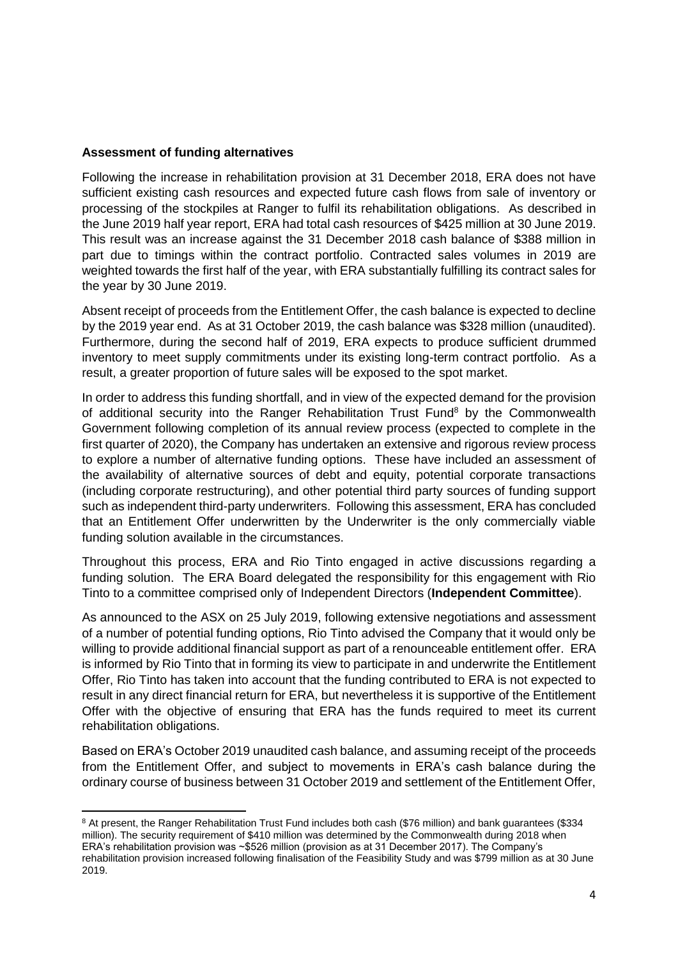### **Assessment of funding alternatives**

**.** 

Following the increase in rehabilitation provision at 31 December 2018, ERA does not have sufficient existing cash resources and expected future cash flows from sale of inventory or processing of the stockpiles at Ranger to fulfil its rehabilitation obligations. As described in the June 2019 half year report, ERA had total cash resources of \$425 million at 30 June 2019. This result was an increase against the 31 December 2018 cash balance of \$388 million in part due to timings within the contract portfolio. Contracted sales volumes in 2019 are weighted towards the first half of the year, with ERA substantially fulfilling its contract sales for the year by 30 June 2019.

Absent receipt of proceeds from the Entitlement Offer, the cash balance is expected to decline by the 2019 year end. As at 31 October 2019, the cash balance was \$328 million (unaudited). Furthermore, during the second half of 2019, ERA expects to produce sufficient drummed inventory to meet supply commitments under its existing long-term contract portfolio. As a result, a greater proportion of future sales will be exposed to the spot market.

In order to address this funding shortfall, and in view of the expected demand for the provision of additional security into the Ranger Rehabilitation Trust Fund<sup>8</sup> by the Commonwealth Government following completion of its annual review process (expected to complete in the first quarter of 2020), the Company has undertaken an extensive and rigorous review process to explore a number of alternative funding options. These have included an assessment of the availability of alternative sources of debt and equity, potential corporate transactions (including corporate restructuring), and other potential third party sources of funding support such as independent third-party underwriters. Following this assessment, ERA has concluded that an Entitlement Offer underwritten by the Underwriter is the only commercially viable funding solution available in the circumstances.

Throughout this process, ERA and Rio Tinto engaged in active discussions regarding a funding solution. The ERA Board delegated the responsibility for this engagement with Rio Tinto to a committee comprised only of Independent Directors (**Independent Committee**).

As announced to the ASX on 25 July 2019, following extensive negotiations and assessment of a number of potential funding options, Rio Tinto advised the Company that it would only be willing to provide additional financial support as part of a renounceable entitlement offer. ERA is informed by Rio Tinto that in forming its view to participate in and underwrite the Entitlement Offer, Rio Tinto has taken into account that the funding contributed to ERA is not expected to result in any direct financial return for ERA, but nevertheless it is supportive of the Entitlement Offer with the objective of ensuring that ERA has the funds required to meet its current rehabilitation obligations.

Based on ERA's October 2019 unaudited cash balance, and assuming receipt of the proceeds from the Entitlement Offer, and subject to movements in ERA's cash balance during the ordinary course of business between 31 October 2019 and settlement of the Entitlement Offer,

<sup>8</sup> At present, the Ranger Rehabilitation Trust Fund includes both cash (\$76 million) and bank guarantees (\$334 million). The security requirement of \$410 million was determined by the Commonwealth during 2018 when ERA's rehabilitation provision was ~\$526 million (provision as at 31 December 2017). The Company's rehabilitation provision increased following finalisation of the Feasibility Study and was \$799 million as at 30 June 2019.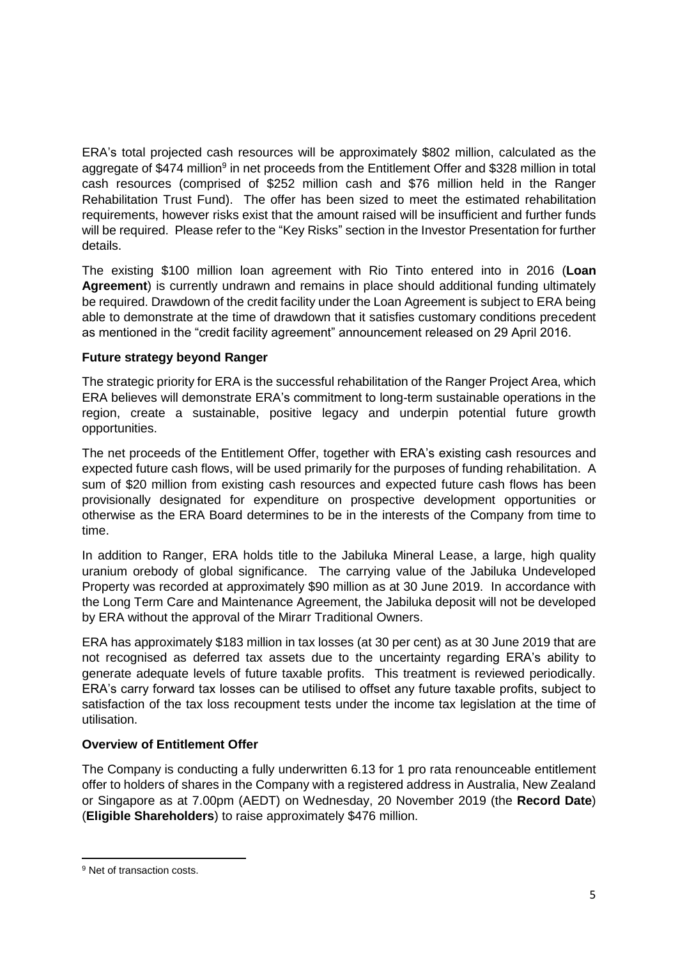ERA's total projected cash resources will be approximately \$802 million, calculated as the aggregate of \$474 million<sup>9</sup> in net proceeds from the Entitlement Offer and \$328 million in total cash resources (comprised of \$252 million cash and \$76 million held in the Ranger Rehabilitation Trust Fund). The offer has been sized to meet the estimated rehabilitation requirements, however risks exist that the amount raised will be insufficient and further funds will be required. Please refer to the "Key Risks" section in the Investor Presentation for further details.

The existing \$100 million loan agreement with Rio Tinto entered into in 2016 (**Loan Agreement**) is currently undrawn and remains in place should additional funding ultimately be required. Drawdown of the credit facility under the Loan Agreement is subject to ERA being able to demonstrate at the time of drawdown that it satisfies customary conditions precedent as mentioned in the "credit facility agreement" announcement released on 29 April 2016.

### **Future strategy beyond Ranger**

The strategic priority for ERA is the successful rehabilitation of the Ranger Project Area, which ERA believes will demonstrate ERA's commitment to long-term sustainable operations in the region, create a sustainable, positive legacy and underpin potential future growth opportunities.

The net proceeds of the Entitlement Offer, together with ERA's existing cash resources and expected future cash flows, will be used primarily for the purposes of funding rehabilitation. A sum of \$20 million from existing cash resources and expected future cash flows has been provisionally designated for expenditure on prospective development opportunities or otherwise as the ERA Board determines to be in the interests of the Company from time to time.

In addition to Ranger, ERA holds title to the Jabiluka Mineral Lease, a large, high quality uranium orebody of global significance. The carrying value of the Jabiluka Undeveloped Property was recorded at approximately \$90 million as at 30 June 2019. In accordance with the Long Term Care and Maintenance Agreement, the Jabiluka deposit will not be developed by ERA without the approval of the Mirarr Traditional Owners.

ERA has approximately \$183 million in tax losses (at 30 per cent) as at 30 June 2019 that are not recognised as deferred tax assets due to the uncertainty regarding ERA's ability to generate adequate levels of future taxable profits. This treatment is reviewed periodically. ERA's carry forward tax losses can be utilised to offset any future taxable profits, subject to satisfaction of the tax loss recoupment tests under the income tax legislation at the time of utilisation.

#### **Overview of Entitlement Offer**

The Company is conducting a fully underwritten 6.13 for 1 pro rata renounceable entitlement offer to holders of shares in the Company with a registered address in Australia, New Zealand or Singapore as at 7.00pm (AEDT) on Wednesday, 20 November 2019 (the **Record Date**) (**Eligible Shareholders**) to raise approximately \$476 million.

1

<sup>9</sup> Net of transaction costs.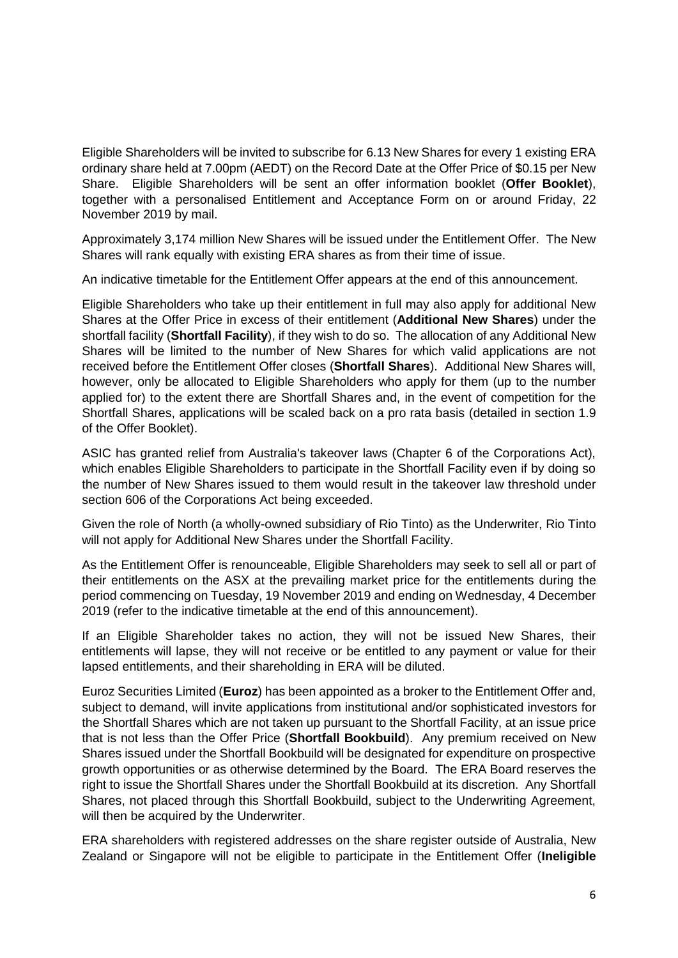Eligible Shareholders will be invited to subscribe for 6.13 New Shares for every 1 existing ERA ordinary share held at 7.00pm (AEDT) on the Record Date at the Offer Price of \$0.15 per New Share. Eligible Shareholders will be sent an offer information booklet (**Offer Booklet**), together with a personalised Entitlement and Acceptance Form on or around Friday, 22 November 2019 by mail.

Approximately 3,174 million New Shares will be issued under the Entitlement Offer. The New Shares will rank equally with existing ERA shares as from their time of issue.

An indicative timetable for the Entitlement Offer appears at the end of this announcement.

Eligible Shareholders who take up their entitlement in full may also apply for additional New Shares at the Offer Price in excess of their entitlement (**Additional New Shares**) under the shortfall facility (**Shortfall Facility**), if they wish to do so. The allocation of any Additional New Shares will be limited to the number of New Shares for which valid applications are not received before the Entitlement Offer closes (**Shortfall Shares**). Additional New Shares will, however, only be allocated to Eligible Shareholders who apply for them (up to the number applied for) to the extent there are Shortfall Shares and, in the event of competition for the Shortfall Shares, applications will be scaled back on a pro rata basis (detailed in section 1.9 of the Offer Booklet).

ASIC has granted relief from Australia's takeover laws (Chapter 6 of the Corporations Act), which enables Eligible Shareholders to participate in the Shortfall Facility even if by doing so the number of New Shares issued to them would result in the takeover law threshold under section 606 of the Corporations Act being exceeded.

Given the role of North (a wholly-owned subsidiary of Rio Tinto) as the Underwriter, Rio Tinto will not apply for Additional New Shares under the Shortfall Facility.

As the Entitlement Offer is renounceable, Eligible Shareholders may seek to sell all or part of their entitlements on the ASX at the prevailing market price for the entitlements during the period commencing on Tuesday, 19 November 2019 and ending on Wednesday, 4 December 2019 (refer to the indicative timetable at the end of this announcement).

If an Eligible Shareholder takes no action, they will not be issued New Shares, their entitlements will lapse, they will not receive or be entitled to any payment or value for their lapsed entitlements, and their shareholding in ERA will be diluted.

Euroz Securities Limited (**Euroz**) has been appointed as a broker to the Entitlement Offer and, subject to demand, will invite applications from institutional and/or sophisticated investors for the Shortfall Shares which are not taken up pursuant to the Shortfall Facility, at an issue price that is not less than the Offer Price (**Shortfall Bookbuild**). Any premium received on New Shares issued under the Shortfall Bookbuild will be designated for expenditure on prospective growth opportunities or as otherwise determined by the Board. The ERA Board reserves the right to issue the Shortfall Shares under the Shortfall Bookbuild at its discretion. Any Shortfall Shares, not placed through this Shortfall Bookbuild, subject to the Underwriting Agreement, will then be acquired by the Underwriter.

ERA shareholders with registered addresses on the share register outside of Australia, New Zealand or Singapore will not be eligible to participate in the Entitlement Offer (**Ineligible**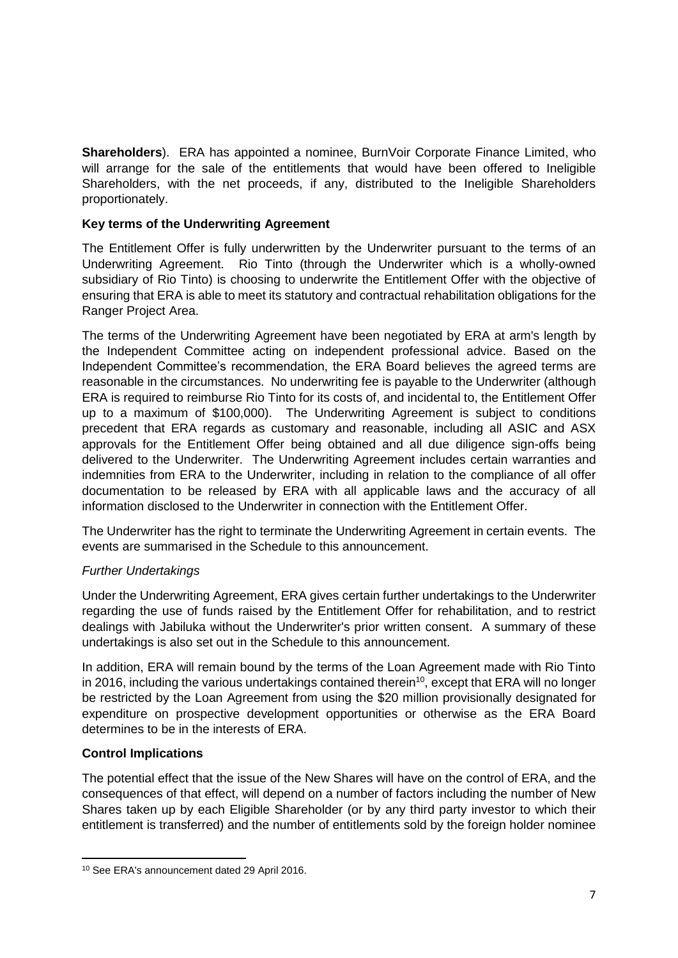**Shareholders**). ERA has appointed a nominee, BurnVoir Corporate Finance Limited, who will arrange for the sale of the entitlements that would have been offered to Ineligible Shareholders, with the net proceeds, if any, distributed to the Ineligible Shareholders proportionately.

# **Key terms of the Underwriting Agreement**

The Entitlement Offer is fully underwritten by the Underwriter pursuant to the terms of an Underwriting Agreement. Rio Tinto (through the Underwriter which is a wholly-owned subsidiary of Rio Tinto) is choosing to underwrite the Entitlement Offer with the objective of ensuring that ERA is able to meet its statutory and contractual rehabilitation obligations for the Ranger Project Area.

The terms of the Underwriting Agreement have been negotiated by ERA at arm's length by the Independent Committee acting on independent professional advice. Based on the Independent Committee's recommendation, the ERA Board believes the agreed terms are reasonable in the circumstances. No underwriting fee is payable to the Underwriter (although ERA is required to reimburse Rio Tinto for its costs of, and incidental to, the Entitlement Offer up to a maximum of \$100,000). The Underwriting Agreement is subject to conditions precedent that ERA regards as customary and reasonable, including all ASIC and ASX approvals for the Entitlement Offer being obtained and all due diligence sign-offs being delivered to the Underwriter. The Underwriting Agreement includes certain warranties and indemnities from ERA to the Underwriter, including in relation to the compliance of all offer documentation to be released by ERA with all applicable laws and the accuracy of all information disclosed to the Underwriter in connection with the Entitlement Offer.

The Underwriter has the right to terminate the Underwriting Agreement in certain events. The events are summarised in the Schedule to this announcement.

# *Further Undertakings*

Under the Underwriting Agreement, ERA gives certain further undertakings to the Underwriter regarding the use of funds raised by the Entitlement Offer for rehabilitation, and to restrict dealings with Jabiluka without the Underwriter's prior written consent. A summary of these undertakings is also set out in the Schedule to this announcement.

In addition, ERA will remain bound by the terms of the Loan Agreement made with Rio Tinto in 2016, including the various undertakings contained therein<sup>10</sup>, except that ERA will no longer be restricted by the Loan Agreement from using the \$20 million provisionally designated for expenditure on prospective development opportunities or otherwise as the ERA Board determines to be in the interests of ERA.

#### **Control Implications**

1

The potential effect that the issue of the New Shares will have on the control of ERA, and the consequences of that effect, will depend on a number of factors including the number of New Shares taken up by each Eligible Shareholder (or by any third party investor to which their entitlement is transferred) and the number of entitlements sold by the foreign holder nominee

<sup>10</sup> See ERA's announcement dated 29 April 2016.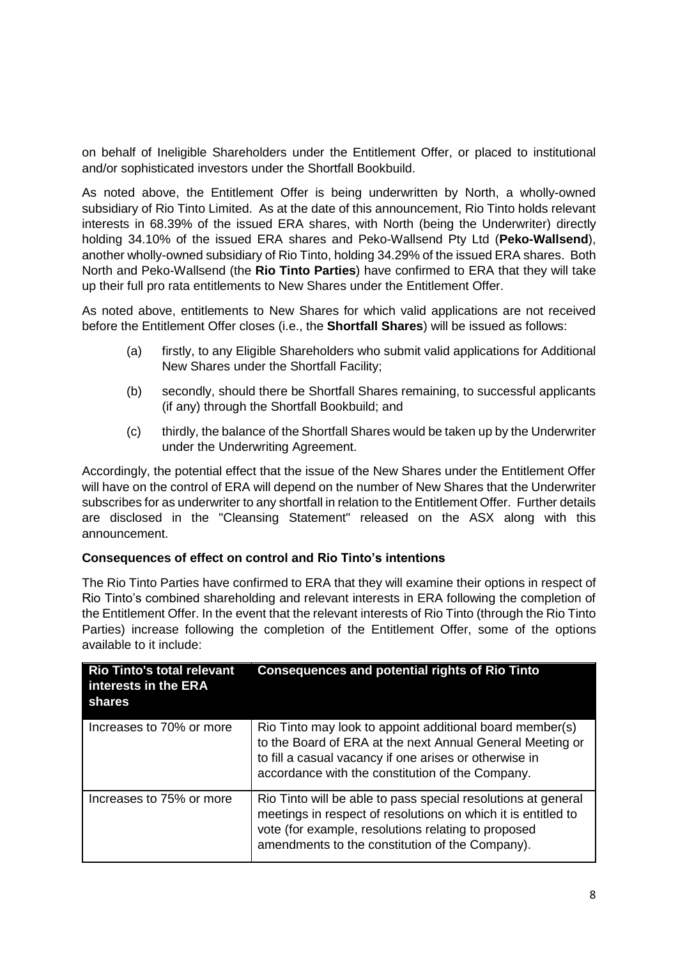on behalf of Ineligible Shareholders under the Entitlement Offer, or placed to institutional and/or sophisticated investors under the Shortfall Bookbuild.

As noted above, the Entitlement Offer is being underwritten by North, a wholly-owned subsidiary of Rio Tinto Limited. As at the date of this announcement, Rio Tinto holds relevant interests in 68.39% of the issued ERA shares, with North (being the Underwriter) directly holding 34.10% of the issued ERA shares and Peko-Wallsend Pty Ltd (**Peko-Wallsend**), another wholly-owned subsidiary of Rio Tinto, holding 34.29% of the issued ERA shares. Both North and Peko-Wallsend (the **Rio Tinto Parties**) have confirmed to ERA that they will take up their full pro rata entitlements to New Shares under the Entitlement Offer.

As noted above, entitlements to New Shares for which valid applications are not received before the Entitlement Offer closes (i.e., the **Shortfall Shares**) will be issued as follows:

- (a) firstly, to any Eligible Shareholders who submit valid applications for Additional New Shares under the Shortfall Facility;
- (b) secondly, should there be Shortfall Shares remaining, to successful applicants (if any) through the Shortfall Bookbuild; and
- (c) thirdly, the balance of the Shortfall Shares would be taken up by the Underwriter under the Underwriting Agreement.

Accordingly, the potential effect that the issue of the New Shares under the Entitlement Offer will have on the control of ERA will depend on the number of New Shares that the Underwriter subscribes for as underwriter to any shortfall in relation to the Entitlement Offer. Further details are disclosed in the "Cleansing Statement" released on the ASX along with this announcement.

#### **Consequences of effect on control and Rio Tinto's intentions**

The Rio Tinto Parties have confirmed to ERA that they will examine their options in respect of Rio Tinto's combined shareholding and relevant interests in ERA following the completion of the Entitlement Offer. In the event that the relevant interests of Rio Tinto (through the Rio Tinto Parties) increase following the completion of the Entitlement Offer, some of the options available to it include:

| <b>Rio Tinto's total relevant</b><br>interests in the ERA<br>shares | <b>Consequences and potential rights of Rio Tinto</b>                                                                                                                                                                                    |
|---------------------------------------------------------------------|------------------------------------------------------------------------------------------------------------------------------------------------------------------------------------------------------------------------------------------|
| Increases to 70% or more                                            | Rio Tinto may look to appoint additional board member(s)<br>to the Board of ERA at the next Annual General Meeting or<br>to fill a casual vacancy if one arises or otherwise in<br>accordance with the constitution of the Company.      |
| Increases to 75% or more                                            | Rio Tinto will be able to pass special resolutions at general<br>meetings in respect of resolutions on which it is entitled to<br>vote (for example, resolutions relating to proposed<br>amendments to the constitution of the Company). |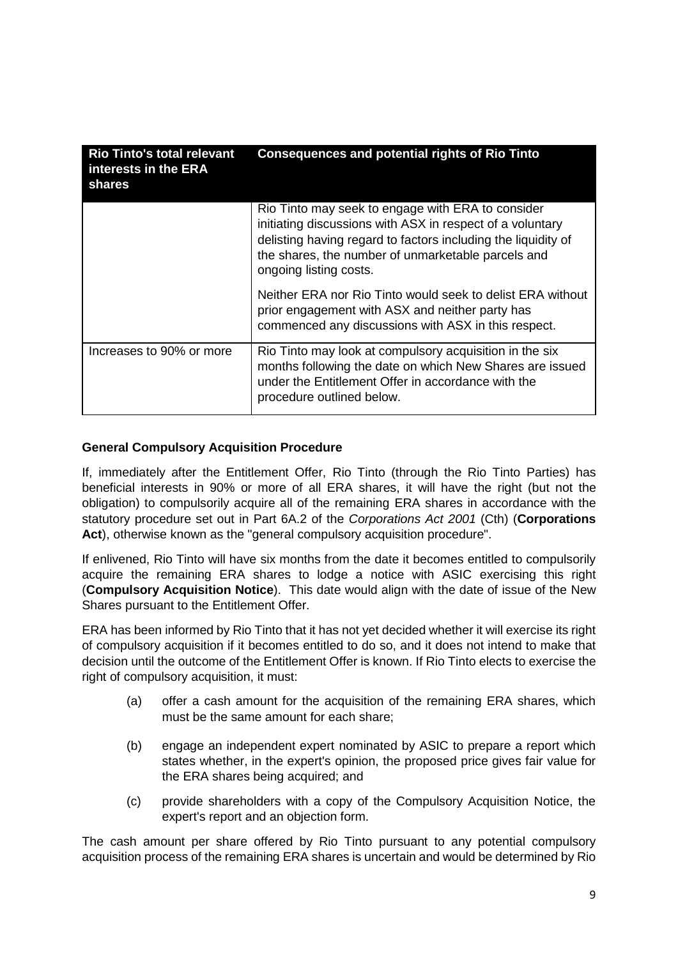| <b>Rio Tinto's total relevant</b><br>interests in the ERA<br>shares | <b>Consequences and potential rights of Rio Tinto</b>                                                                                                                                                                                                           |
|---------------------------------------------------------------------|-----------------------------------------------------------------------------------------------------------------------------------------------------------------------------------------------------------------------------------------------------------------|
|                                                                     | Rio Tinto may seek to engage with ERA to consider<br>initiating discussions with ASX in respect of a voluntary<br>delisting having regard to factors including the liquidity of<br>the shares, the number of unmarketable parcels and<br>ongoing listing costs. |
|                                                                     | Neither ERA nor Rio Tinto would seek to delist ERA without<br>prior engagement with ASX and neither party has<br>commenced any discussions with ASX in this respect.                                                                                            |
| Increases to 90% or more                                            | Rio Tinto may look at compulsory acquisition in the six<br>months following the date on which New Shares are issued<br>under the Entitlement Offer in accordance with the<br>procedure outlined below.                                                          |

# **General Compulsory Acquisition Procedure**

If, immediately after the Entitlement Offer, Rio Tinto (through the Rio Tinto Parties) has beneficial interests in 90% or more of all ERA shares, it will have the right (but not the obligation) to compulsorily acquire all of the remaining ERA shares in accordance with the statutory procedure set out in Part 6A.2 of the *Corporations Act 2001* (Cth) (**Corporations Act**), otherwise known as the "general compulsory acquisition procedure".

If enlivened, Rio Tinto will have six months from the date it becomes entitled to compulsorily acquire the remaining ERA shares to lodge a notice with ASIC exercising this right (**Compulsory Acquisition Notice**).This date would align with the date of issue of the New Shares pursuant to the Entitlement Offer.

ERA has been informed by Rio Tinto that it has not yet decided whether it will exercise its right of compulsory acquisition if it becomes entitled to do so, and it does not intend to make that decision until the outcome of the Entitlement Offer is known. If Rio Tinto elects to exercise the right of compulsory acquisition, it must:

- (a) offer a cash amount for the acquisition of the remaining ERA shares, which must be the same amount for each share;
- (b) engage an independent expert nominated by ASIC to prepare a report which states whether, in the expert's opinion, the proposed price gives fair value for the ERA shares being acquired; and
- (c) provide shareholders with a copy of the Compulsory Acquisition Notice, the expert's report and an objection form.

The cash amount per share offered by Rio Tinto pursuant to any potential compulsory acquisition process of the remaining ERA shares is uncertain and would be determined by Rio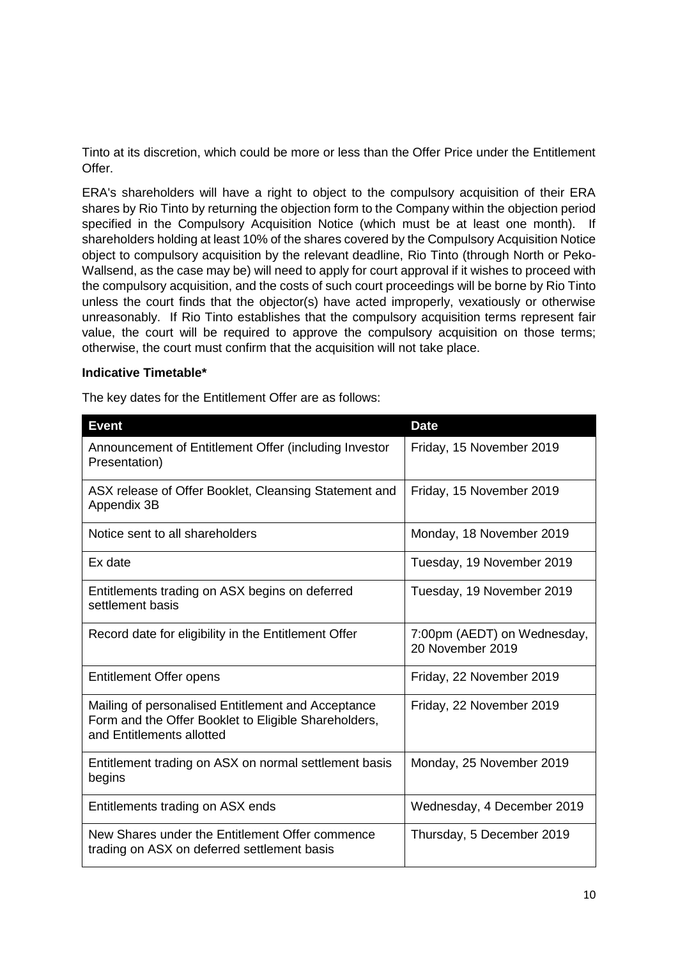Tinto at its discretion, which could be more or less than the Offer Price under the Entitlement Offer.

ERA's shareholders will have a right to object to the compulsory acquisition of their ERA shares by Rio Tinto by returning the objection form to the Company within the objection period specified in the Compulsory Acquisition Notice (which must be at least one month). If shareholders holding at least 10% of the shares covered by the Compulsory Acquisition Notice object to compulsory acquisition by the relevant deadline, Rio Tinto (through North or Peko-Wallsend, as the case may be) will need to apply for court approval if it wishes to proceed with the compulsory acquisition, and the costs of such court proceedings will be borne by Rio Tinto unless the court finds that the objector(s) have acted improperly, vexatiously or otherwise unreasonably. If Rio Tinto establishes that the compulsory acquisition terms represent fair value, the court will be required to approve the compulsory acquisition on those terms; otherwise, the court must confirm that the acquisition will not take place.

#### **Indicative Timetable\***

The key dates for the Entitlement Offer are as follows:

| <b>Event</b>                                                                                                                            | <b>Date</b>                                     |
|-----------------------------------------------------------------------------------------------------------------------------------------|-------------------------------------------------|
| Announcement of Entitlement Offer (including Investor<br>Presentation)                                                                  | Friday, 15 November 2019                        |
| ASX release of Offer Booklet, Cleansing Statement and<br>Appendix 3B                                                                    | Friday, 15 November 2019                        |
| Notice sent to all shareholders                                                                                                         | Monday, 18 November 2019                        |
| Ex date                                                                                                                                 | Tuesday, 19 November 2019                       |
| Entitlements trading on ASX begins on deferred<br>settlement basis                                                                      | Tuesday, 19 November 2019                       |
| Record date for eligibility in the Entitlement Offer                                                                                    | 7:00pm (AEDT) on Wednesday,<br>20 November 2019 |
| <b>Entitlement Offer opens</b>                                                                                                          | Friday, 22 November 2019                        |
| Mailing of personalised Entitlement and Acceptance<br>Form and the Offer Booklet to Eligible Shareholders,<br>and Entitlements allotted | Friday, 22 November 2019                        |
| Entitlement trading on ASX on normal settlement basis<br>begins                                                                         | Monday, 25 November 2019                        |
| Entitlements trading on ASX ends                                                                                                        | Wednesday, 4 December 2019                      |
| New Shares under the Entitlement Offer commence<br>trading on ASX on deferred settlement basis                                          | Thursday, 5 December 2019                       |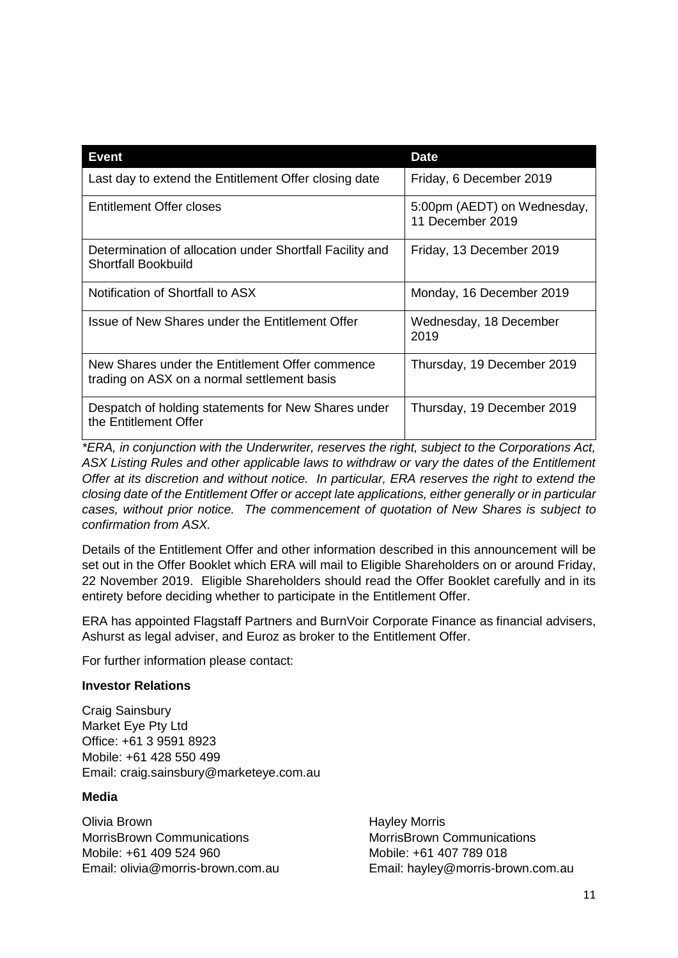| Event                                                                                          | <b>Date</b>                                     |
|------------------------------------------------------------------------------------------------|-------------------------------------------------|
| Last day to extend the Entitlement Offer closing date                                          | Friday, 6 December 2019                         |
| <b>Entitlement Offer closes</b>                                                                | 5:00pm (AEDT) on Wednesday,<br>11 December 2019 |
| Determination of allocation under Shortfall Facility and<br><b>Shortfall Bookbuild</b>         | Friday, 13 December 2019                        |
| Notification of Shortfall to ASX                                                               | Monday, 16 December 2019                        |
| Issue of New Shares under the Entitlement Offer                                                | Wednesday, 18 December<br>2019                  |
| New Shares under the Entitlement Offer commence<br>trading on ASX on a normal settlement basis | Thursday, 19 December 2019                      |
| Despatch of holding statements for New Shares under<br>the Entitlement Offer                   | Thursday, 19 December 2019                      |

*\*ERA, in conjunction with the Underwriter, reserves the right, subject to the Corporations Act, ASX Listing Rules and other applicable laws to withdraw or vary the dates of the Entitlement Offer at its discretion and without notice. In particular, ERA reserves the right to extend the closing date of the Entitlement Offer or accept late applications, either generally or in particular cases, without prior notice. The commencement of quotation of New Shares is subject to confirmation from ASX.*

Details of the Entitlement Offer and other information described in this announcement will be set out in the Offer Booklet which ERA will mail to Eligible Shareholders on or around Friday, 22 November 2019. Eligible Shareholders should read the Offer Booklet carefully and in its entirety before deciding whether to participate in the Entitlement Offer.

ERA has appointed Flagstaff Partners and BurnVoir Corporate Finance as financial advisers, Ashurst as legal adviser, and Euroz as broker to the Entitlement Offer.

For further information please contact:

#### **Investor Relations**

Craig Sainsbury Market Eye Pty Ltd Office: +61 3 9591 8923 Mobile: +61 428 550 499 Email: craig.sainsbury@marketeye.com.au

#### **Media**

Olivia Brown **Hayley Morris** MorrisBrown Communications MorrisBrown Communications Mobile: +61 409 524 960 Mobile: +61 407 789 018

Email: olivia@morris-brown.com.au Email: hayley@morris-brown.com.au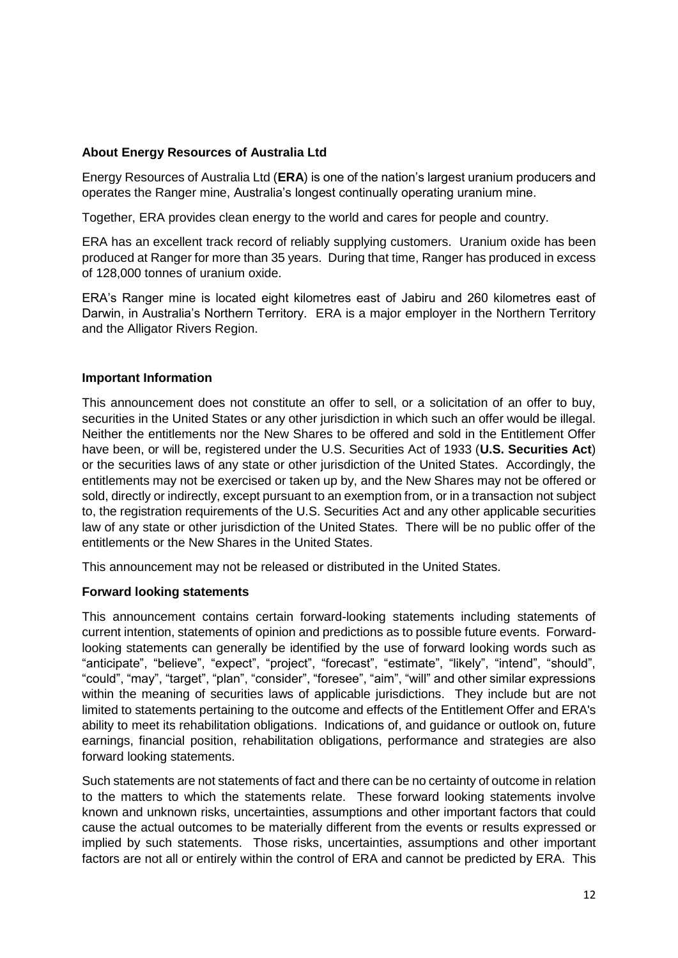### **About Energy Resources of Australia Ltd**

Energy Resources of Australia Ltd (**ERA**) is one of the nation's largest uranium producers and operates the Ranger mine, Australia's longest continually operating uranium mine.

Together, ERA provides clean energy to the world and cares for people and country.

ERA has an excellent track record of reliably supplying customers. Uranium oxide has been produced at Ranger for more than 35 years. During that time, Ranger has produced in excess of 128,000 tonnes of uranium oxide.

ERA's Ranger mine is located eight kilometres east of Jabiru and 260 kilometres east of Darwin, in Australia's Northern Territory. ERA is a major employer in the Northern Territory and the Alligator Rivers Region.

#### **Important Information**

This announcement does not constitute an offer to sell, or a solicitation of an offer to buy, securities in the United States or any other jurisdiction in which such an offer would be illegal. Neither the entitlements nor the New Shares to be offered and sold in the Entitlement Offer have been, or will be, registered under the U.S. Securities Act of 1933 (**U.S. Securities Act**) or the securities laws of any state or other jurisdiction of the United States. Accordingly, the entitlements may not be exercised or taken up by, and the New Shares may not be offered or sold, directly or indirectly, except pursuant to an exemption from, or in a transaction not subject to, the registration requirements of the U.S. Securities Act and any other applicable securities law of any state or other jurisdiction of the United States. There will be no public offer of the entitlements or the New Shares in the United States.

This announcement may not be released or distributed in the United States.

#### **Forward looking statements**

This announcement contains certain forward-looking statements including statements of current intention, statements of opinion and predictions as to possible future events. Forwardlooking statements can generally be identified by the use of forward looking words such as "anticipate", "believe", "expect", "project", "forecast", "estimate", "likely", "intend", "should", "could", "may", "target", "plan", "consider", "foresee", "aim", "will" and other similar expressions within the meaning of securities laws of applicable jurisdictions. They include but are not limited to statements pertaining to the outcome and effects of the Entitlement Offer and ERA's ability to meet its rehabilitation obligations. Indications of, and guidance or outlook on, future earnings, financial position, rehabilitation obligations, performance and strategies are also forward looking statements.

Such statements are not statements of fact and there can be no certainty of outcome in relation to the matters to which the statements relate. These forward looking statements involve known and unknown risks, uncertainties, assumptions and other important factors that could cause the actual outcomes to be materially different from the events or results expressed or implied by such statements. Those risks, uncertainties, assumptions and other important factors are not all or entirely within the control of ERA and cannot be predicted by ERA. This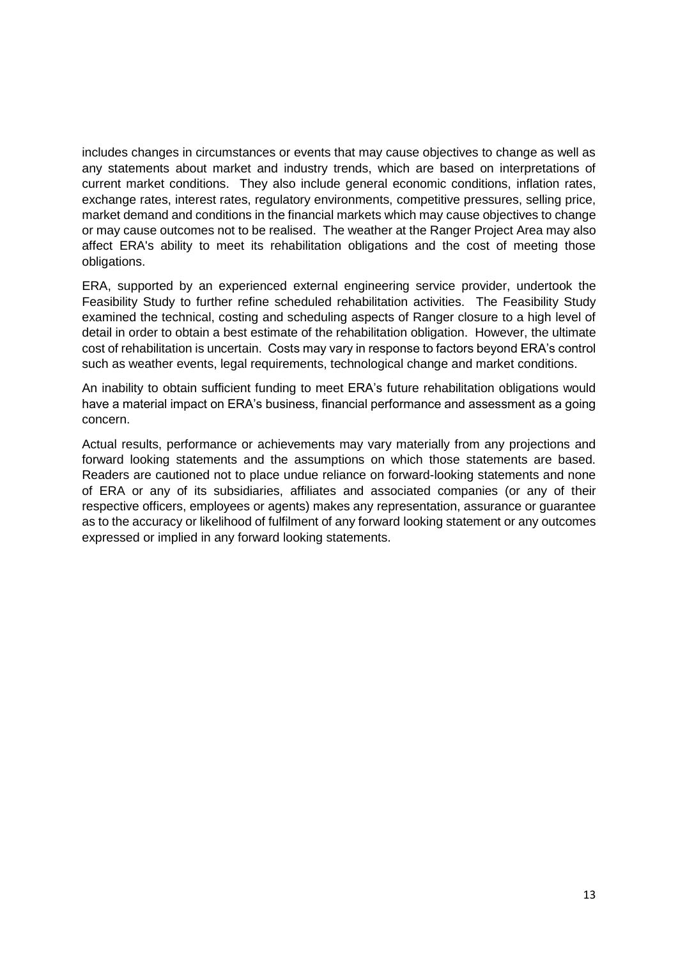includes changes in circumstances or events that may cause objectives to change as well as any statements about market and industry trends, which are based on interpretations of current market conditions. They also include general economic conditions, inflation rates, exchange rates, interest rates, regulatory environments, competitive pressures, selling price, market demand and conditions in the financial markets which may cause objectives to change or may cause outcomes not to be realised. The weather at the Ranger Project Area may also affect ERA's ability to meet its rehabilitation obligations and the cost of meeting those obligations.

ERA, supported by an experienced external engineering service provider, undertook the Feasibility Study to further refine scheduled rehabilitation activities. The Feasibility Study examined the technical, costing and scheduling aspects of Ranger closure to a high level of detail in order to obtain a best estimate of the rehabilitation obligation. However, the ultimate cost of rehabilitation is uncertain. Costs may vary in response to factors beyond ERA's control such as weather events, legal requirements, technological change and market conditions.

An inability to obtain sufficient funding to meet ERA's future rehabilitation obligations would have a material impact on ERA's business, financial performance and assessment as a going concern.

Actual results, performance or achievements may vary materially from any projections and forward looking statements and the assumptions on which those statements are based. Readers are cautioned not to place undue reliance on forward-looking statements and none of ERA or any of its subsidiaries, affiliates and associated companies (or any of their respective officers, employees or agents) makes any representation, assurance or guarantee as to the accuracy or likelihood of fulfilment of any forward looking statement or any outcomes expressed or implied in any forward looking statements.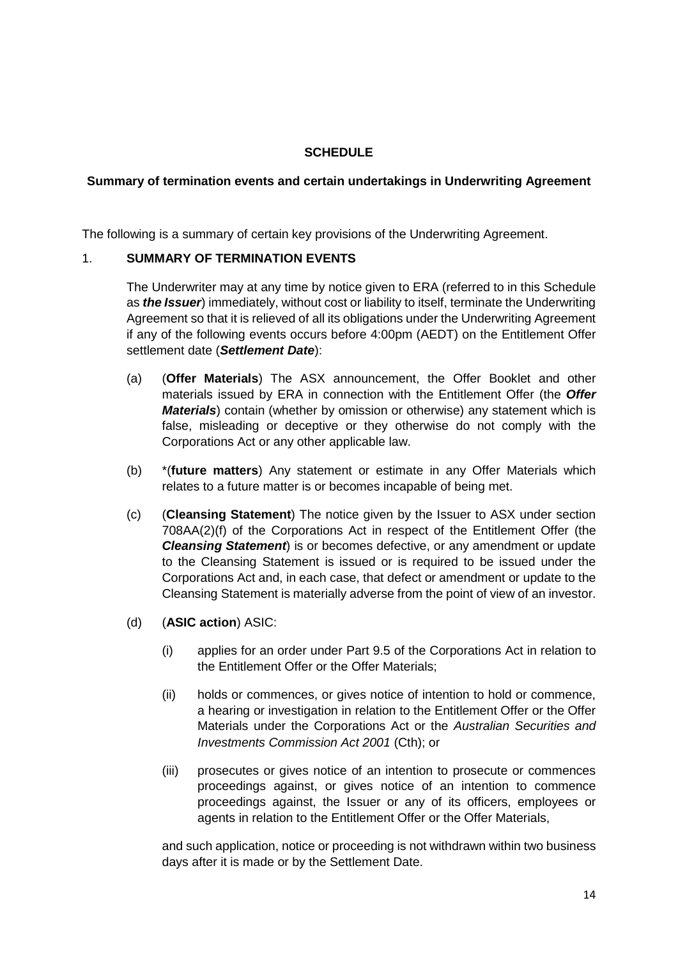# **SCHEDULE**

### **Summary of termination events and certain undertakings in Underwriting Agreement**

The following is a summary of certain key provisions of the Underwriting Agreement.

### 1. **SUMMARY OF TERMINATION EVENTS**

The Underwriter may at any time by notice given to ERA (referred to in this Schedule as *the Issuer*) immediately, without cost or liability to itself, terminate the Underwriting Agreement so that it is relieved of all its obligations under the Underwriting Agreement if any of the following events occurs before 4:00pm (AEDT) on the Entitlement Offer settlement date (*Settlement Date*):

- (a) (**Offer Materials**) The ASX announcement, the Offer Booklet and other materials issued by ERA in connection with the Entitlement Offer (the *Offer Materials*) contain (whether by omission or otherwise) any statement which is false, misleading or deceptive or they otherwise do not comply with the Corporations Act or any other applicable law.
- (b) \*(**future matters**) Any statement or estimate in any Offer Materials which relates to a future matter is or becomes incapable of being met.
- (c) (**Cleansing Statement**) The notice given by the Issuer to ASX under section 708AA(2)(f) of the Corporations Act in respect of the Entitlement Offer (the *Cleansing Statement*) is or becomes defective, or any amendment or update to the Cleansing Statement is issued or is required to be issued under the Corporations Act and, in each case, that defect or amendment or update to the Cleansing Statement is materially adverse from the point of view of an investor.
- (d) (**ASIC action**) ASIC:
	- (i) applies for an order under Part 9.5 of the Corporations Act in relation to the Entitlement Offer or the Offer Materials;
	- (ii) holds or commences, or gives notice of intention to hold or commence, a hearing or investigation in relation to the Entitlement Offer or the Offer Materials under the Corporations Act or the *Australian Securities and Investments Commission Act 2001* (Cth); or
	- (iii) prosecutes or gives notice of an intention to prosecute or commences proceedings against, or gives notice of an intention to commence proceedings against, the Issuer or any of its officers, employees or agents in relation to the Entitlement Offer or the Offer Materials,

and such application, notice or proceeding is not withdrawn within two business days after it is made or by the Settlement Date.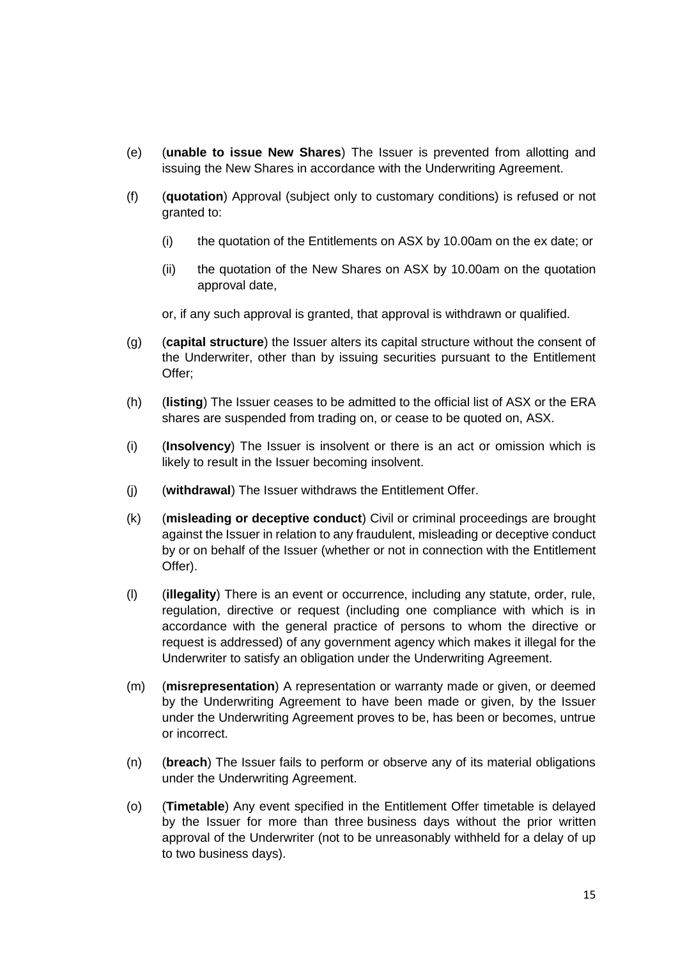- (e) (**unable to issue New Shares**) The Issuer is prevented from allotting and issuing the New Shares in accordance with the Underwriting Agreement.
- (f) (**quotation**) Approval (subject only to customary conditions) is refused or not granted to:
	- (i) the quotation of the Entitlements on ASX by 10.00am on the ex date; or
	- (ii) the quotation of the New Shares on ASX by 10.00am on the quotation approval date,

or, if any such approval is granted, that approval is withdrawn or qualified.

- (g) (**capital structure**) the Issuer alters its capital structure without the consent of the Underwriter, other than by issuing securities pursuant to the Entitlement Offer;
- (h) (**listing**) The Issuer ceases to be admitted to the official list of ASX or the ERA shares are suspended from trading on, or cease to be quoted on, ASX.
- (i) (**Insolvency**) The Issuer is insolvent or there is an act or omission which is likely to result in the Issuer becoming insolvent.
- (j) (**withdrawal**) The Issuer withdraws the Entitlement Offer.
- (k) (**misleading or deceptive conduct**) Civil or criminal proceedings are brought against the Issuer in relation to any fraudulent, misleading or deceptive conduct by or on behalf of the Issuer (whether or not in connection with the Entitlement Offer).
- (l) (**illegality**) There is an event or occurrence, including any statute, order, rule, regulation, directive or request (including one compliance with which is in accordance with the general practice of persons to whom the directive or request is addressed) of any government agency which makes it illegal for the Underwriter to satisfy an obligation under the Underwriting Agreement.
- (m) (**misrepresentation**) A representation or warranty made or given, or deemed by the Underwriting Agreement to have been made or given, by the Issuer under the Underwriting Agreement proves to be, has been or becomes, untrue or incorrect.
- (n) (**breach**) The Issuer fails to perform or observe any of its material obligations under the Underwriting Agreement.
- (o) (**Timetable**) Any event specified in the Entitlement Offer timetable is delayed by the Issuer for more than three business days without the prior written approval of the Underwriter (not to be unreasonably withheld for a delay of up to two business days).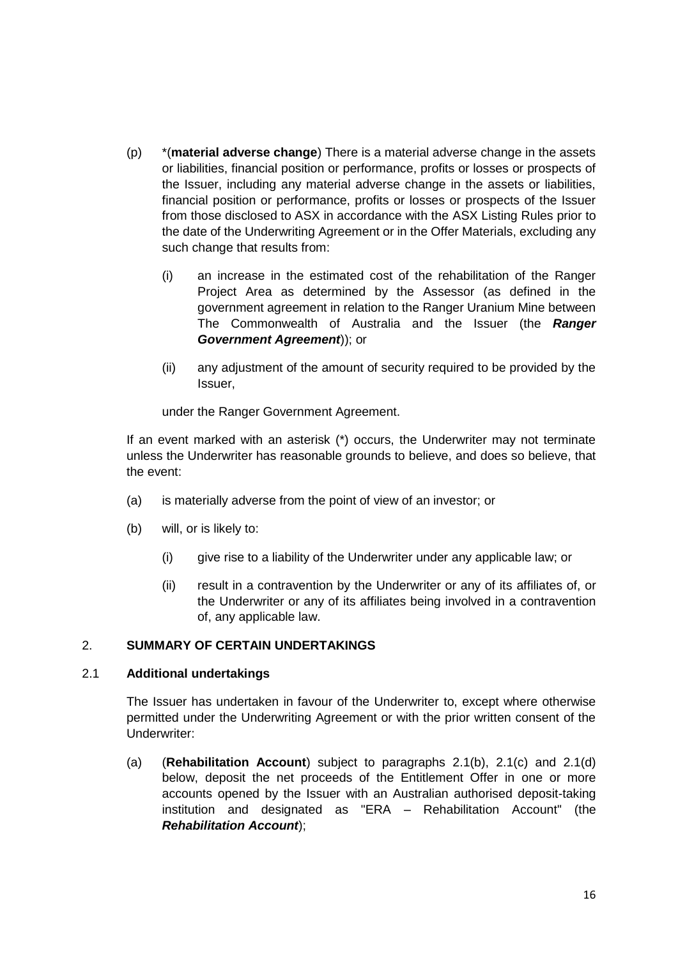- (p) \*(**material adverse change**) There is a material adverse change in the assets or liabilities, financial position or performance, profits or losses or prospects of the Issuer, including any material adverse change in the assets or liabilities, financial position or performance, profits or losses or prospects of the Issuer from those disclosed to ASX in accordance with the ASX Listing Rules prior to the date of the Underwriting Agreement or in the Offer Materials, excluding any such change that results from:
	- (i) an increase in the estimated cost of the rehabilitation of the Ranger Project Area as determined by the Assessor (as defined in the government agreement in relation to the Ranger Uranium Mine between The Commonwealth of Australia and the Issuer (the *Ranger Government Agreement*)); or
	- (ii) any adjustment of the amount of security required to be provided by the Issuer,

under the Ranger Government Agreement.

If an event marked with an asterisk (\*) occurs, the Underwriter may not terminate unless the Underwriter has reasonable grounds to believe, and does so believe, that the event:

- (a) is materially adverse from the point of view of an investor; or
- (b) will, or is likely to:
	- (i) give rise to a liability of the Underwriter under any applicable law; or
	- (ii) result in a contravention by the Underwriter or any of its affiliates of, or the Underwriter or any of its affiliates being involved in a contravention of, any applicable law.

#### 2. **SUMMARY OF CERTAIN UNDERTAKINGS**

#### 2.1 **Additional undertakings**

The Issuer has undertaken in favour of the Underwriter to, except where otherwise permitted under the Underwriting Agreement or with the prior written consent of the Underwriter:

(a) (**Rehabilitation Account**) subject to paragraphs 2.1(b), 2.1(c) and 2.1(d) below, deposit the net proceeds of the Entitlement Offer in one or more accounts opened by the Issuer with an Australian authorised deposit-taking institution and designated as "ERA – Rehabilitation Account" (the *Rehabilitation Account*);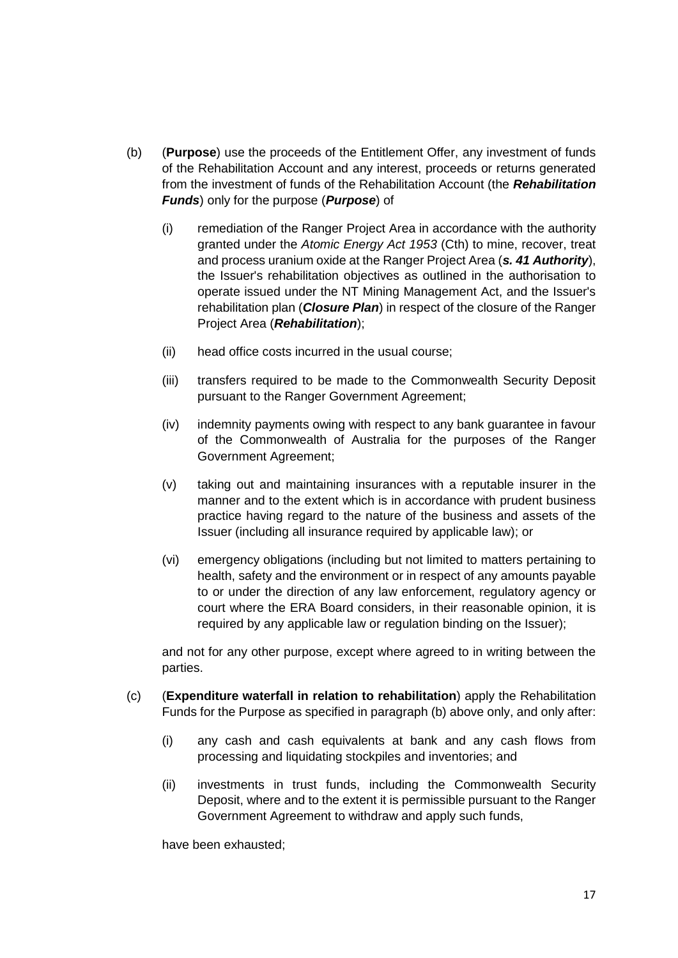- (b) (**Purpose**) use the proceeds of the Entitlement Offer, any investment of funds of the Rehabilitation Account and any interest, proceeds or returns generated from the investment of funds of the Rehabilitation Account (the *Rehabilitation Funds*) only for the purpose (*Purpose*) of
	- (i) remediation of the Ranger Project Area in accordance with the authority granted under the *Atomic Energy Act 1953* (Cth) to mine, recover, treat and process uranium oxide at the Ranger Project Area (*s. 41 Authority*), the Issuer's rehabilitation objectives as outlined in the authorisation to operate issued under the NT Mining Management Act, and the Issuer's rehabilitation plan (*Closure Plan*) in respect of the closure of the Ranger Project Area (*Rehabilitation*);
	- (ii) head office costs incurred in the usual course;
	- (iii) transfers required to be made to the Commonwealth Security Deposit pursuant to the Ranger Government Agreement;
	- (iv) indemnity payments owing with respect to any bank guarantee in favour of the Commonwealth of Australia for the purposes of the Ranger Government Agreement;
	- (v) taking out and maintaining insurances with a reputable insurer in the manner and to the extent which is in accordance with prudent business practice having regard to the nature of the business and assets of the Issuer (including all insurance required by applicable law); or
	- (vi) emergency obligations (including but not limited to matters pertaining to health, safety and the environment or in respect of any amounts payable to or under the direction of any law enforcement, regulatory agency or court where the ERA Board considers, in their reasonable opinion, it is required by any applicable law or regulation binding on the Issuer);

and not for any other purpose, except where agreed to in writing between the parties.

- (c) (**Expenditure waterfall in relation to rehabilitation**) apply the Rehabilitation Funds for the Purpose as specified in paragraph (b) above only, and only after:
	- (i) any cash and cash equivalents at bank and any cash flows from processing and liquidating stockpiles and inventories; and
	- (ii) investments in trust funds, including the Commonwealth Security Deposit, where and to the extent it is permissible pursuant to the Ranger Government Agreement to withdraw and apply such funds,

have been exhausted;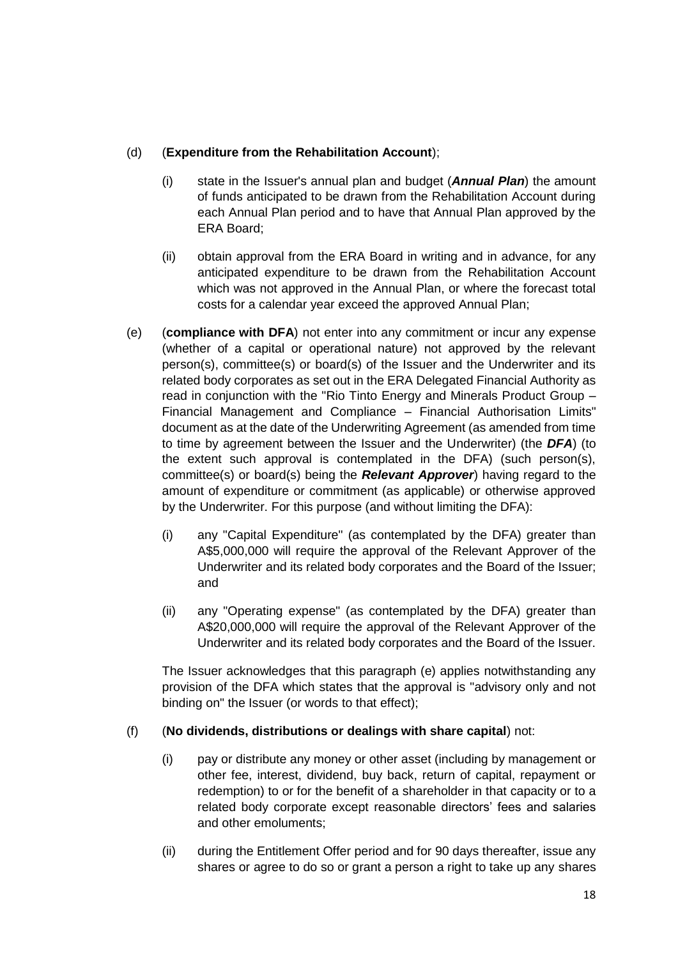# (d) (**Expenditure from the Rehabilitation Account**);

- (i) state in the Issuer's annual plan and budget (*Annual Plan*) the amount of funds anticipated to be drawn from the Rehabilitation Account during each Annual Plan period and to have that Annual Plan approved by the ERA Board;
- (ii) obtain approval from the ERA Board in writing and in advance, for any anticipated expenditure to be drawn from the Rehabilitation Account which was not approved in the Annual Plan, or where the forecast total costs for a calendar year exceed the approved Annual Plan;
- (e) (**compliance with DFA**) not enter into any commitment or incur any expense (whether of a capital or operational nature) not approved by the relevant person(s), committee(s) or board(s) of the Issuer and the Underwriter and its related body corporates as set out in the ERA Delegated Financial Authority as read in conjunction with the "Rio Tinto Energy and Minerals Product Group – Financial Management and Compliance – Financial Authorisation Limits" document as at the date of the Underwriting Agreement (as amended from time to time by agreement between the Issuer and the Underwriter) (the *DFA*) (to the extent such approval is contemplated in the DFA) (such person(s), committee(s) or board(s) being the *Relevant Approver*) having regard to the amount of expenditure or commitment (as applicable) or otherwise approved by the Underwriter. For this purpose (and without limiting the DFA):
	- (i) any "Capital Expenditure" (as contemplated by the DFA) greater than A\$5,000,000 will require the approval of the Relevant Approver of the Underwriter and its related body corporates and the Board of the Issuer; and
	- (ii) any "Operating expense" (as contemplated by the DFA) greater than A\$20,000,000 will require the approval of the Relevant Approver of the Underwriter and its related body corporates and the Board of the Issuer.

The Issuer acknowledges that this paragraph (e) applies notwithstanding any provision of the DFA which states that the approval is "advisory only and not binding on" the Issuer (or words to that effect);

# (f) (**No dividends, distributions or dealings with share capital**) not:

- (i) pay or distribute any money or other asset (including by management or other fee, interest, dividend, buy back, return of capital, repayment or redemption) to or for the benefit of a shareholder in that capacity or to a related body corporate except reasonable directors' fees and salaries and other emoluments;
- (ii) during the Entitlement Offer period and for 90 days thereafter, issue any shares or agree to do so or grant a person a right to take up any shares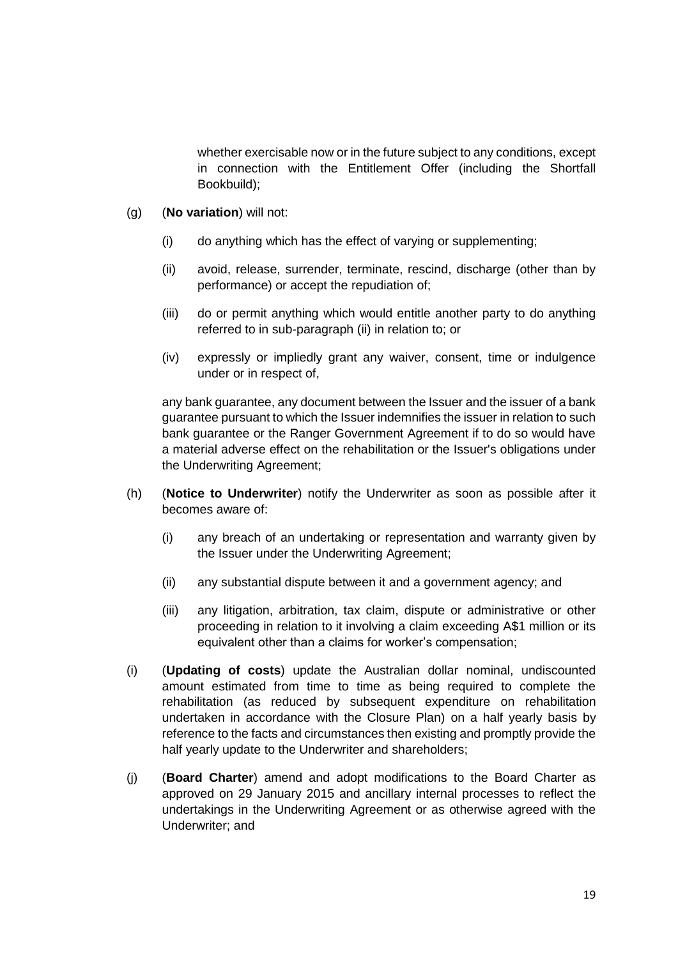whether exercisable now or in the future subject to any conditions, except in connection with the Entitlement Offer (including the Shortfall Bookbuild);

- (g) (**No variation**) will not:
	- (i) do anything which has the effect of varying or supplementing;
	- (ii) avoid, release, surrender, terminate, rescind, discharge (other than by performance) or accept the repudiation of;
	- (iii) do or permit anything which would entitle another party to do anything referred to in sub-paragraph (ii) in relation to; or
	- (iv) expressly or impliedly grant any waiver, consent, time or indulgence under or in respect of,

any bank guarantee, any document between the Issuer and the issuer of a bank guarantee pursuant to which the Issuer indemnifies the issuer in relation to such bank guarantee or the Ranger Government Agreement if to do so would have a material adverse effect on the rehabilitation or the Issuer's obligations under the Underwriting Agreement;

- (h) (**Notice to Underwriter**) notify the Underwriter as soon as possible after it becomes aware of:
	- (i) any breach of an undertaking or representation and warranty given by the Issuer under the Underwriting Agreement;
	- (ii) any substantial dispute between it and a government agency; and
	- (iii) any litigation, arbitration, tax claim, dispute or administrative or other proceeding in relation to it involving a claim exceeding A\$1 million or its equivalent other than a claims for worker's compensation;
- (i) (**Updating of costs**) update the Australian dollar nominal, undiscounted amount estimated from time to time as being required to complete the rehabilitation (as reduced by subsequent expenditure on rehabilitation undertaken in accordance with the Closure Plan) on a half yearly basis by reference to the facts and circumstances then existing and promptly provide the half yearly update to the Underwriter and shareholders;
- (j) (**Board Charter**) amend and adopt modifications to the Board Charter as approved on 29 January 2015 and ancillary internal processes to reflect the undertakings in the Underwriting Agreement or as otherwise agreed with the Underwriter; and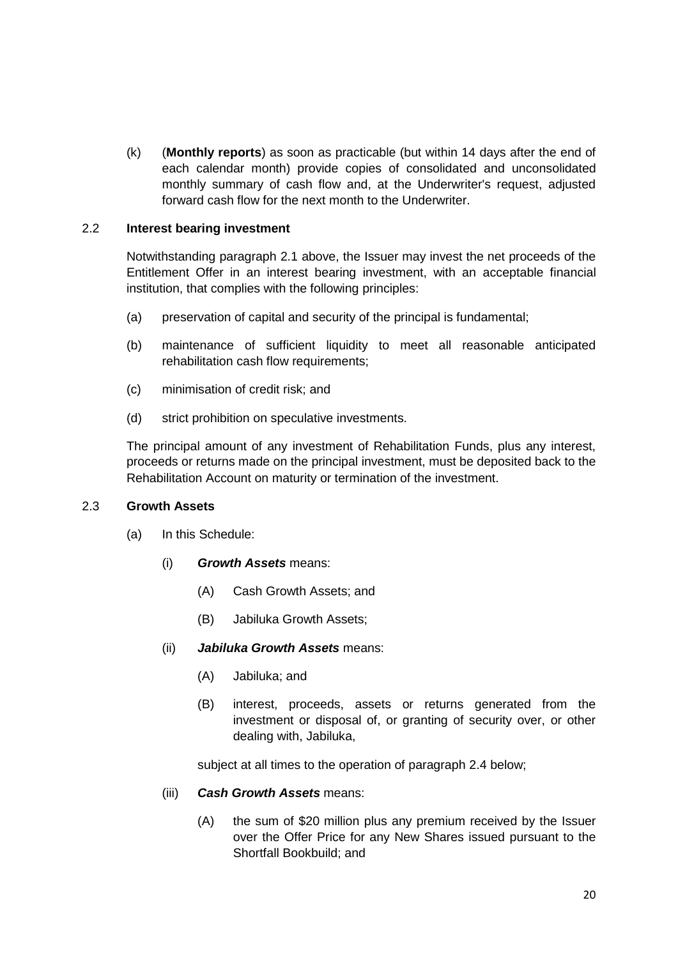(k) (**Monthly reports**) as soon as practicable (but within 14 days after the end of each calendar month) provide copies of consolidated and unconsolidated monthly summary of cash flow and, at the Underwriter's request, adjusted forward cash flow for the next month to the Underwriter.

### 2.2 **Interest bearing investment**

Notwithstanding paragraph 2.1 above, the Issuer may invest the net proceeds of the Entitlement Offer in an interest bearing investment, with an acceptable financial institution, that complies with the following principles:

- (a) preservation of capital and security of the principal is fundamental;
- (b) maintenance of sufficient liquidity to meet all reasonable anticipated rehabilitation cash flow requirements:
- (c) minimisation of credit risk; and
- (d) strict prohibition on speculative investments.

The principal amount of any investment of Rehabilitation Funds, plus any interest, proceeds or returns made on the principal investment, must be deposited back to the Rehabilitation Account on maturity or termination of the investment.

#### 2.3 **Growth Assets**

- (a) In this Schedule:
	- (i) *Growth Assets* means:
		- (A) Cash Growth Assets; and
		- (B) Jabiluka Growth Assets;
	- (ii) *Jabiluka Growth Assets* means:
		- (A) Jabiluka; and
		- (B) interest, proceeds, assets or returns generated from the investment or disposal of, or granting of security over, or other dealing with, Jabiluka,

subject at all times to the operation of paragraph 2.4 below;

### (iii) *Cash Growth Assets* means:

(A) the sum of \$20 million plus any premium received by the Issuer over the Offer Price for any New Shares issued pursuant to the Shortfall Bookbuild; and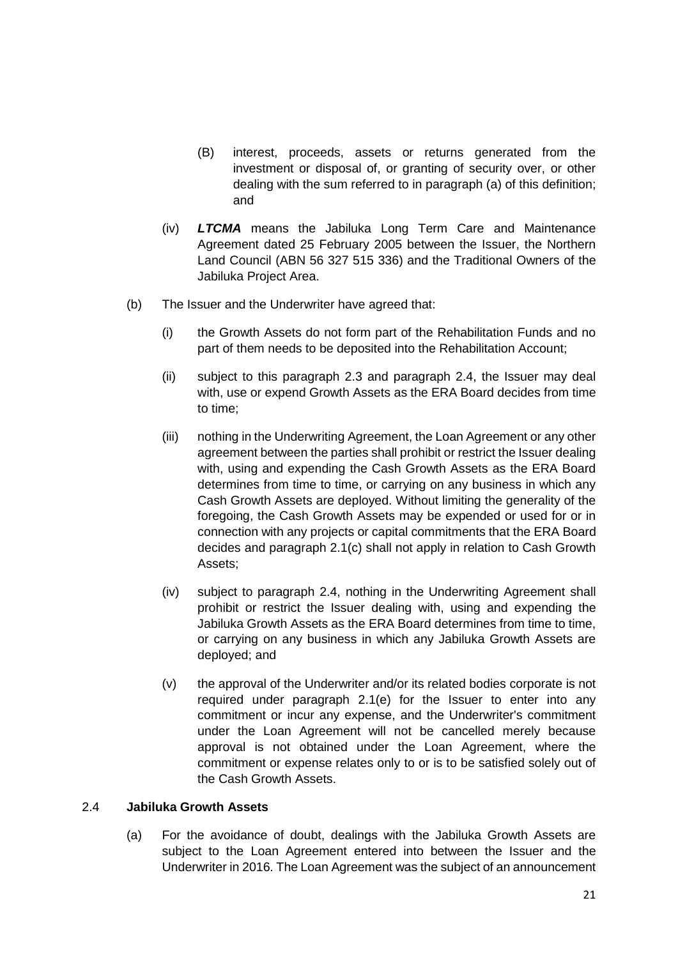- (B) interest, proceeds, assets or returns generated from the investment or disposal of, or granting of security over, or other dealing with the sum referred to in paragraph (a) of this definition; and
- (iv) *LTCMA* means the Jabiluka Long Term Care and Maintenance Agreement dated 25 February 2005 between the Issuer, the Northern Land Council (ABN 56 327 515 336) and the Traditional Owners of the Jabiluka Project Area.
- (b) The Issuer and the Underwriter have agreed that:
	- (i) the Growth Assets do not form part of the Rehabilitation Funds and no part of them needs to be deposited into the Rehabilitation Account;
	- (ii) subject to this paragraph 2.3 and paragraph 2.4, the Issuer may deal with, use or expend Growth Assets as the ERA Board decides from time to time;
	- (iii) nothing in the Underwriting Agreement, the Loan Agreement or any other agreement between the parties shall prohibit or restrict the Issuer dealing with, using and expending the Cash Growth Assets as the ERA Board determines from time to time, or carrying on any business in which any Cash Growth Assets are deployed. Without limiting the generality of the foregoing, the Cash Growth Assets may be expended or used for or in connection with any projects or capital commitments that the ERA Board decides and paragraph 2.1(c) shall not apply in relation to Cash Growth Assets;
	- (iv) subject to paragraph 2.4, nothing in the Underwriting Agreement shall prohibit or restrict the Issuer dealing with, using and expending the Jabiluka Growth Assets as the ERA Board determines from time to time, or carrying on any business in which any Jabiluka Growth Assets are deployed; and
	- (v) the approval of the Underwriter and/or its related bodies corporate is not required under paragraph 2.1(e) for the Issuer to enter into any commitment or incur any expense, and the Underwriter's commitment under the Loan Agreement will not be cancelled merely because approval is not obtained under the Loan Agreement, where the commitment or expense relates only to or is to be satisfied solely out of the Cash Growth Assets.

### 2.4 **Jabiluka Growth Assets**

(a) For the avoidance of doubt, dealings with the Jabiluka Growth Assets are subject to the Loan Agreement entered into between the Issuer and the Underwriter in 2016. The Loan Agreement was the subject of an announcement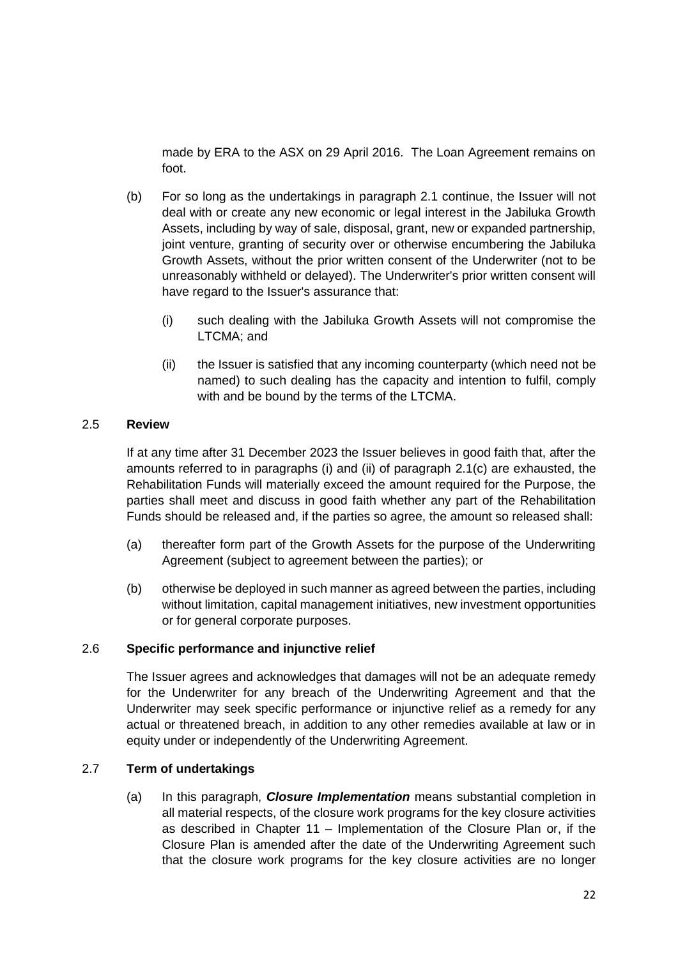made by ERA to the ASX on 29 April 2016. The Loan Agreement remains on foot.

- (b) For so long as the undertakings in paragraph 2.1 continue, the Issuer will not deal with or create any new economic or legal interest in the Jabiluka Growth Assets, including by way of sale, disposal, grant, new or expanded partnership, joint venture, granting of security over or otherwise encumbering the Jabiluka Growth Assets, without the prior written consent of the Underwriter (not to be unreasonably withheld or delayed). The Underwriter's prior written consent will have regard to the Issuer's assurance that:
	- (i) such dealing with the Jabiluka Growth Assets will not compromise the LTCMA; and
	- (ii) the Issuer is satisfied that any incoming counterparty (which need not be named) to such dealing has the capacity and intention to fulfil, comply with and be bound by the terms of the LTCMA.

#### 2.5 **Review**

If at any time after 31 December 2023 the Issuer believes in good faith that, after the amounts referred to in paragraphs (i) and (ii) of paragraph 2.1(c) are exhausted, the Rehabilitation Funds will materially exceed the amount required for the Purpose, the parties shall meet and discuss in good faith whether any part of the Rehabilitation Funds should be released and, if the parties so agree, the amount so released shall:

- (a) thereafter form part of the Growth Assets for the purpose of the Underwriting Agreement (subject to agreement between the parties); or
- (b) otherwise be deployed in such manner as agreed between the parties, including without limitation, capital management initiatives, new investment opportunities or for general corporate purposes.

#### 2.6 **Specific performance and injunctive relief**

The Issuer agrees and acknowledges that damages will not be an adequate remedy for the Underwriter for any breach of the Underwriting Agreement and that the Underwriter may seek specific performance or injunctive relief as a remedy for any actual or threatened breach, in addition to any other remedies available at law or in equity under or independently of the Underwriting Agreement.

### 2.7 **Term of undertakings**

(a) In this paragraph, *Closure Implementation* means substantial completion in all material respects, of the closure work programs for the key closure activities as described in Chapter 11 – Implementation of the Closure Plan or, if the Closure Plan is amended after the date of the Underwriting Agreement such that the closure work programs for the key closure activities are no longer